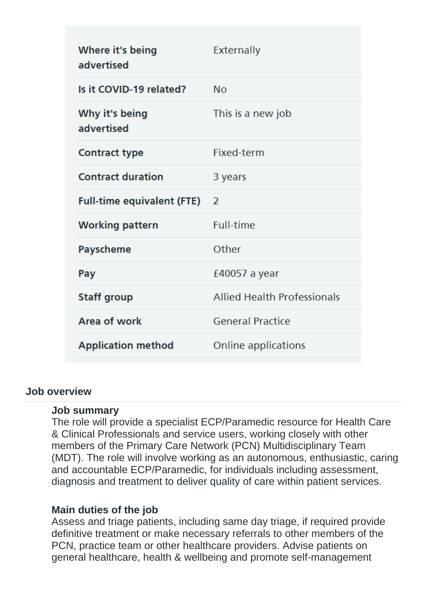| Where it's being<br>advertised      | <b>Externally</b>                  |
|-------------------------------------|------------------------------------|
| Is it COVID-19 related?             | <b>No</b>                          |
| Why it's being<br>advertised        | This is a new job                  |
| <b>Contract type</b>                | Fixed-term                         |
| <b>Contract duration</b>            | 3 years                            |
| <b>Full-time equivalent (FTE)</b> 2 |                                    |
| <b>Working pattern</b>              | <b>Full-time</b>                   |
| Payscheme                           | Other                              |
| Pay                                 | £40057 a year                      |
| <b>Staff group</b>                  | <b>Allied Health Professionals</b> |
| Area of work                        | <b>General Practice</b>            |
| <b>Application method</b>           | Online applications                |

#### **Job overview**

#### **Job summary**

The role will provide a specialist ECP/Paramedic resource for Health Care & Clinical Professionals and service users, working closely with other members of the Primary Care Network (PCN) Multidisciplinary Team (MDT). The role will involve working as an autonomous, enthusiastic, caring and accountable ECP/Paramedic, for individuals including assessment, diagnosis and treatment to deliver quality of care within patient services.

#### **Main duties of the job**

Assess and triage patients, including same day triage, if required provide definitive treatment or make necessary referrals to other members of the PCN, practice team or other healthcare providers. Advise patients on general healthcare, health & wellbeing and promote self-management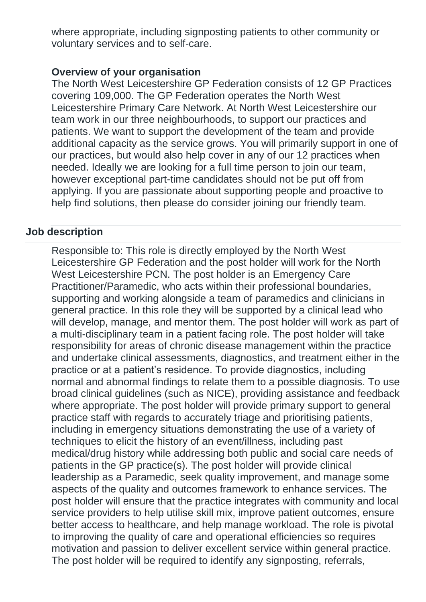where appropriate, including signposting patients to other community or voluntary services and to self-care.

#### **Overview of your organisation**

The North West Leicestershire GP Federation consists of 12 GP Practices covering 109,000. The GP Federation operates the North West Leicestershire Primary Care Network. At North West Leicestershire our team work in our three neighbourhoods, to support our practices and patients. We want to support the development of the team and provide additional capacity as the service grows. You will primarily support in one of our practices, but would also help cover in any of our 12 practices when needed. Ideally we are looking for a full time person to join our team, however exceptional part-time candidates should not be put off from applying. If you are passionate about supporting people and proactive to help find solutions, then please do consider joining our friendly team.

## **Job description**

Responsible to: This role is directly employed by the North West Leicestershire GP Federation and the post holder will work for the North West Leicestershire PCN. The post holder is an Emergency Care Practitioner/Paramedic, who acts within their professional boundaries, supporting and working alongside a team of paramedics and clinicians in general practice. In this role they will be supported by a clinical lead who will develop, manage, and mentor them. The post holder will work as part of a multi-disciplinary team in a patient facing role. The post holder will take responsibility for areas of chronic disease management within the practice and undertake clinical assessments, diagnostics, and treatment either in the practice or at a patient's residence. To provide diagnostics, including normal and abnormal findings to relate them to a possible diagnosis. To use broad clinical guidelines (such as NICE), providing assistance and feedback where appropriate. The post holder will provide primary support to general practice staff with regards to accurately triage and prioritising patients, including in emergency situations demonstrating the use of a variety of techniques to elicit the history of an event/illness, including past medical/drug history while addressing both public and social care needs of patients in the GP practice(s). The post holder will provide clinical leadership as a Paramedic, seek quality improvement, and manage some aspects of the quality and outcomes framework to enhance services. The post holder will ensure that the practice integrates with community and local service providers to help utilise skill mix, improve patient outcomes, ensure better access to healthcare, and help manage workload. The role is pivotal to improving the quality of care and operational efficiencies so requires motivation and passion to deliver excellent service within general practice. The post holder will be required to identify any signposting, referrals,